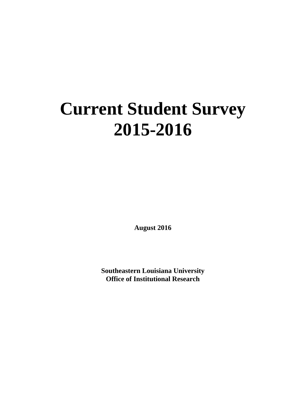## **Current Student Survey 2015-2016**

**August 2016**

**Southeastern Louisiana University Office of Institutional Research**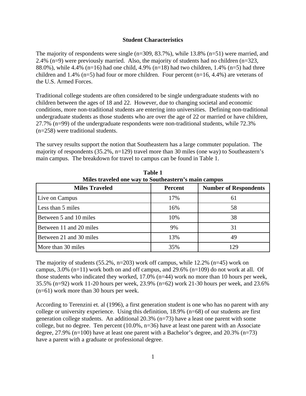## **Student Characteristics**

The majority of respondents were single  $(n=309, 83.7\%)$ , while 13.8%  $(n=51)$  were married, and 2.4% (n=9) were previously married. Also, the majority of students had no children (n=323, 88.0%), while 4.4% (n=16) had one child, 4.9% (n=18) had two children, 1.4% (n=5) had three children and 1.4% (n=5) had four or more children. Four percent (n=16, 4.4%) are veterans of the U.S. Armed Forces.

Traditional college students are often considered to be single undergraduate students with no children between the ages of 18 and 22. However, due to changing societal and economic conditions, more non-traditional students are entering into universities. Defining non-traditional undergraduate students as those students who are over the age of 22 or married or have children, 27.7% (n=99) of the undergraduate respondents were non-traditional students, while 72.3% (n=258) were traditional students.

The survey results support the notion that Southeastern has a large commuter population. The majority of respondents (35.2%, n=129) travel more than 30 miles (one way) to Southeastern's main campus. The breakdown for travel to campus can be found in Table 1.

| Miles traveled one way to Southeastern's main campus<br><b>Miles Traveled</b> | <b>Percent</b> | <b>Number of Respondents</b> |
|-------------------------------------------------------------------------------|----------------|------------------------------|
| Live on Campus                                                                | 17%            | 61                           |
| Less than 5 miles                                                             | 16%            | 58                           |
| Between 5 and 10 miles                                                        | 10%            | 38                           |
| Between 11 and 20 miles                                                       | 9%             | 31                           |
| Between 21 and 30 miles                                                       | 13%            | 49                           |
| More than 30 miles                                                            | 35%            | 129                          |

**Table 1**

The majority of students  $(55.2\%, n=203)$  work off campus, while 12.2%  $(n=45)$  work on campus,  $3.0\%$  (n=11) work both on and off campus, and  $29.6\%$  (n=109) do not work at all. Of those students who indicated they worked, 17.0% (n=44) work no more than 10 hours per week, 35.5% (n=92) work 11-20 hours per week, 23.9% (n=62) work 21-30 hours per week, and 23.6% (n=61) work more than 30 hours per week.

According to Terenzini et. al (1996), a first generation student is one who has no parent with any college or university experience. Using this definition, 18.9% (n=68) of our students are first generation college students. An additional 20.3% (n=73) have a least one parent with some college, but no degree. Ten percent (10.0%, n=36) have at least one parent with an Associate degree, 27.9% (n=100) have at least one parent with a Bachelor's degree, and 20.3% (n=73) have a parent with a graduate or professional degree.